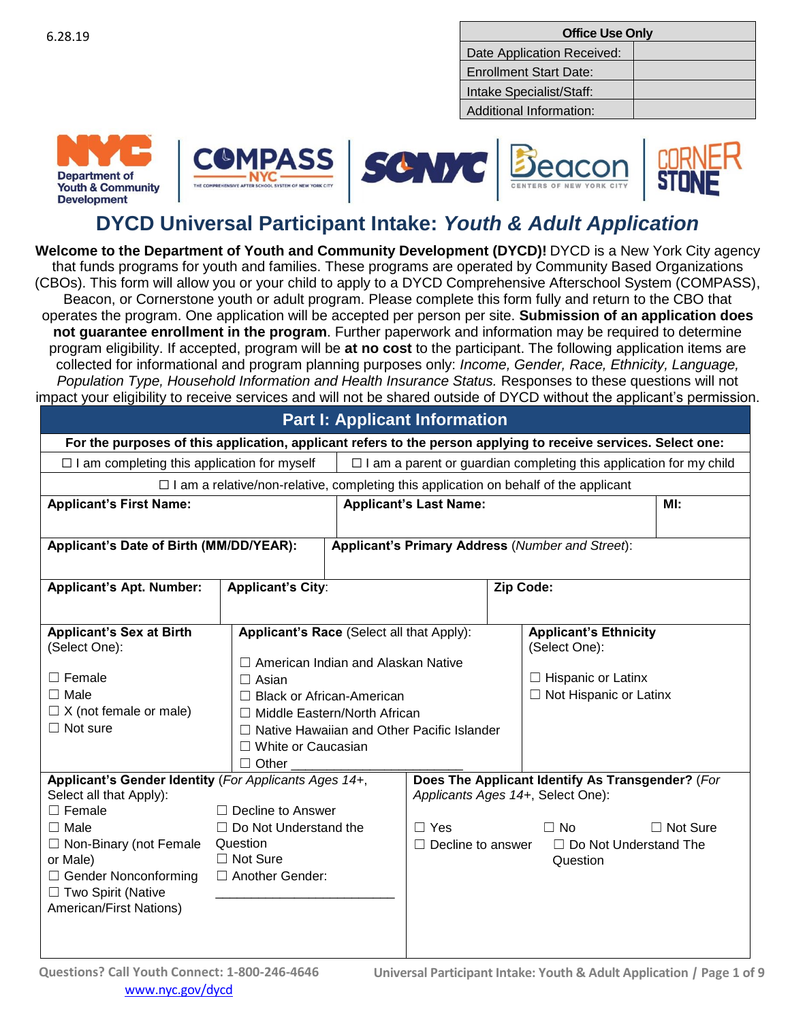| <b>Office Use Only</b>        |  |  |  |  |
|-------------------------------|--|--|--|--|
| Date Application Received:    |  |  |  |  |
| <b>Enrollment Start Date:</b> |  |  |  |  |
| Intake Specialist/Staff:      |  |  |  |  |
| Additional Information:       |  |  |  |  |



# **DYCD Universal Participant Intake:** *Youth & Adult Application*

**Welcome to the Department of Youth and Community Development (DYCD)!** DYCD is a New York City agency that funds programs for youth and families. These programs are operated by Community Based Organizations (CBOs). This form will allow you or your child to apply to a DYCD Comprehensive Afterschool System (COMPASS), Beacon, or Cornerstone youth or adult program. Please complete this form fully and return to the CBO that operates the program. One application will be accepted per person per site. **Submission of an application does not guarantee enrollment in the program**. Further paperwork and information may be required to determine program eligibility. If accepted, program will be **at no cost** to the participant. The following application items are collected for informational and program planning purposes only: *Income, Gender, Race, Ethnicity, Language, Population Type, Household Information and Health Insurance Status.* Responses to these questions will not impact your eligibility to receive services and will not be shared outside of DYCD without the applicant's permission.

| <b>Part I: Applicant Information</b>                                                                           |                                                                           |  |                               |  |                                                                                             |                 |  |
|----------------------------------------------------------------------------------------------------------------|---------------------------------------------------------------------------|--|-------------------------------|--|---------------------------------------------------------------------------------------------|-----------------|--|
| For the purposes of this application, applicant refers to the person applying to receive services. Select one: |                                                                           |  |                               |  |                                                                                             |                 |  |
| $\Box$ I am completing this application for myself                                                             | $\Box$ I am a parent or guardian completing this application for my child |  |                               |  |                                                                                             |                 |  |
|                                                                                                                |                                                                           |  |                               |  | $\Box$ I am a relative/non-relative, completing this application on behalf of the applicant |                 |  |
| <b>Applicant's First Name:</b>                                                                                 |                                                                           |  | <b>Applicant's Last Name:</b> |  |                                                                                             | $M!$ :          |  |
|                                                                                                                |                                                                           |  |                               |  |                                                                                             |                 |  |
| Applicant's Date of Birth (MM/DD/YEAR):                                                                        |                                                                           |  |                               |  | Applicant's Primary Address (Number and Street):                                            |                 |  |
|                                                                                                                |                                                                           |  |                               |  |                                                                                             |                 |  |
| <b>Applicant's Apt. Number:</b>                                                                                | <b>Applicant's City:</b>                                                  |  |                               |  | Zip Code:                                                                                   |                 |  |
|                                                                                                                |                                                                           |  |                               |  |                                                                                             |                 |  |
| <b>Applicant's Sex at Birth</b>                                                                                | Applicant's Race (Select all that Apply):                                 |  |                               |  | <b>Applicant's Ethnicity</b>                                                                |                 |  |
| (Select One):                                                                                                  | $\Box$ American Indian and Alaskan Native                                 |  |                               |  | (Select One):                                                                               |                 |  |
| $\Box$ Female                                                                                                  | $\Box$ Asian                                                              |  |                               |  | $\Box$ Hispanic or Latinx                                                                   |                 |  |
| $\Box$ Male                                                                                                    | □ Black or African-American                                               |  |                               |  | $\Box$ Not Hispanic or Latinx                                                               |                 |  |
| $\Box$ X (not female or male)                                                                                  | $\Box$ Middle Eastern/North African                                       |  |                               |  |                                                                                             |                 |  |
| $\Box$ Not sure                                                                                                | $\Box$ Native Hawaiian and Other Pacific Islander                         |  |                               |  |                                                                                             |                 |  |
|                                                                                                                | □ White or Caucasian                                                      |  |                               |  |                                                                                             |                 |  |
|                                                                                                                | $\Box$ Other                                                              |  |                               |  |                                                                                             |                 |  |
| Applicant's Gender Identity (For Applicants Ages 14+,                                                          |                                                                           |  |                               |  | Does The Applicant Identify As Transgender? (For                                            |                 |  |
| Select all that Apply):                                                                                        |                                                                           |  |                               |  | Applicants Ages 14+, Select One):                                                           |                 |  |
| $\Box$ Female                                                                                                  | $\Box$ Decline to Answer                                                  |  |                               |  |                                                                                             |                 |  |
| $\Box$ Male                                                                                                    | $\Box$ Do Not Understand the<br>Question                                  |  | $\Box$ Yes                    |  | $\Box$ No                                                                                   | $\Box$ Not Sure |  |
| $\Box$ Non-Binary (not Female<br>or Male)                                                                      | $\Box$ Not Sure                                                           |  | $\Box$ Decline to answer      |  | $\Box$ Do Not Understand The<br>Question                                                    |                 |  |
| $\Box$ Gender Nonconforming                                                                                    | $\Box$ Another Gender:                                                    |  |                               |  |                                                                                             |                 |  |
| □ Two Spirit (Native                                                                                           |                                                                           |  |                               |  |                                                                                             |                 |  |
| American/First Nations)                                                                                        |                                                                           |  |                               |  |                                                                                             |                 |  |
|                                                                                                                |                                                                           |  |                               |  |                                                                                             |                 |  |
|                                                                                                                |                                                                           |  |                               |  |                                                                                             |                 |  |
|                                                                                                                |                                                                           |  |                               |  |                                                                                             |                 |  |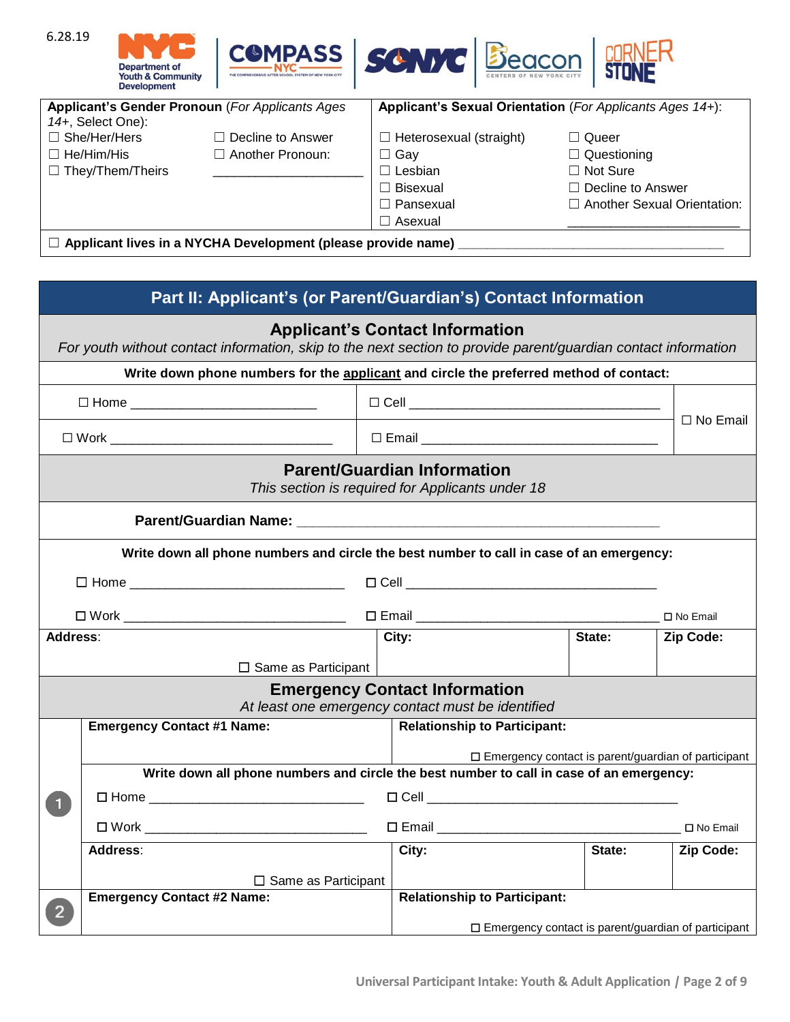| 6.28.19<br>Department of<br><b>Youth &amp; Community</b><br><b>Development</b> | <b>COMPASS</b>                                          | SAM                            |                                                           |
|--------------------------------------------------------------------------------|---------------------------------------------------------|--------------------------------|-----------------------------------------------------------|
|                                                                                | <b>Applicant's Gender Pronoun (For Applicants Ages)</b> |                                | Applicant's Sexual Orientation (For Applicants Ages 14+): |
| 14+, Select One):                                                              |                                                         |                                |                                                           |
| $\Box$ She/Her/Hers                                                            | Decline to Answer                                       | $\Box$ Heterosexual (straight) | □ Queer                                                   |
| $\Box$ He/Him/His                                                              | Another Pronoun:                                        | Gav<br>$\Box$                  | Questioning                                               |
| $\Box$ They/Them/Theirs                                                        |                                                         | Lesbian                        | $\Box$ Not Sure                                           |
|                                                                                |                                                         | <b>Bisexual</b>                | Decline to Answer                                         |

□ Pansexual □ Asexual

□ Another Sexual Orientation: \_\_\_\_\_\_\_\_\_\_\_\_\_\_\_\_\_\_\_\_\_\_\_\_

□ Applicant lives in a NYCHA Development (please provide name)

|                                           |                                                                                                                                                          |                            | Part II: Applicant's (or Parent/Guardian's) Contact Information                           |        |            |  |  |
|-------------------------------------------|----------------------------------------------------------------------------------------------------------------------------------------------------------|----------------------------|-------------------------------------------------------------------------------------------|--------|------------|--|--|
|                                           | <b>Applicant's Contact Information</b><br>For youth without contact information, skip to the next section to provide parent/guardian contact information |                            |                                                                                           |        |            |  |  |
|                                           |                                                                                                                                                          |                            | Write down phone numbers for the applicant and circle the preferred method of contact:    |        |            |  |  |
| □ Home __________________________________ |                                                                                                                                                          |                            |                                                                                           |        | □ No Email |  |  |
|                                           |                                                                                                                                                          |                            |                                                                                           |        |            |  |  |
|                                           |                                                                                                                                                          |                            | <b>Parent/Guardian Information</b><br>This section is required for Applicants under 18    |        |            |  |  |
|                                           |                                                                                                                                                          |                            |                                                                                           |        |            |  |  |
|                                           |                                                                                                                                                          |                            | Write down all phone numbers and circle the best number to call in case of an emergency:  |        |            |  |  |
|                                           |                                                                                                                                                          |                            |                                                                                           |        |            |  |  |
|                                           |                                                                                                                                                          |                            |                                                                                           |        |            |  |  |
| Address:                                  |                                                                                                                                                          |                            | City:                                                                                     | State: | Zip Code:  |  |  |
|                                           |                                                                                                                                                          | $\Box$ Same as Participant |                                                                                           |        |            |  |  |
|                                           |                                                                                                                                                          |                            | <b>Emergency Contact Information</b><br>At least one emergency contact must be identified |        |            |  |  |
|                                           | <b>Emergency Contact #1 Name:</b>                                                                                                                        |                            | <b>Relationship to Participant:</b>                                                       |        |            |  |  |
|                                           |                                                                                                                                                          |                            | $\square$ Emergency contact is parent/guardian of participant                             |        |            |  |  |
|                                           |                                                                                                                                                          |                            | Write down all phone numbers and circle the best number to call in case of an emergency:  |        |            |  |  |
|                                           |                                                                                                                                                          |                            |                                                                                           |        |            |  |  |
|                                           |                                                                                                                                                          |                            |                                                                                           |        |            |  |  |
|                                           | Address:                                                                                                                                                 |                            | City:                                                                                     | State: | Zip Code:  |  |  |
|                                           |                                                                                                                                                          | $\Box$ Same as Participant |                                                                                           |        |            |  |  |
|                                           | <b>Emergency Contact #2 Name:</b>                                                                                                                        |                            | <b>Relationship to Participant:</b>                                                       |        |            |  |  |
|                                           |                                                                                                                                                          |                            | $\Box$ Emergency contact is parent/guardian of participant                                |        |            |  |  |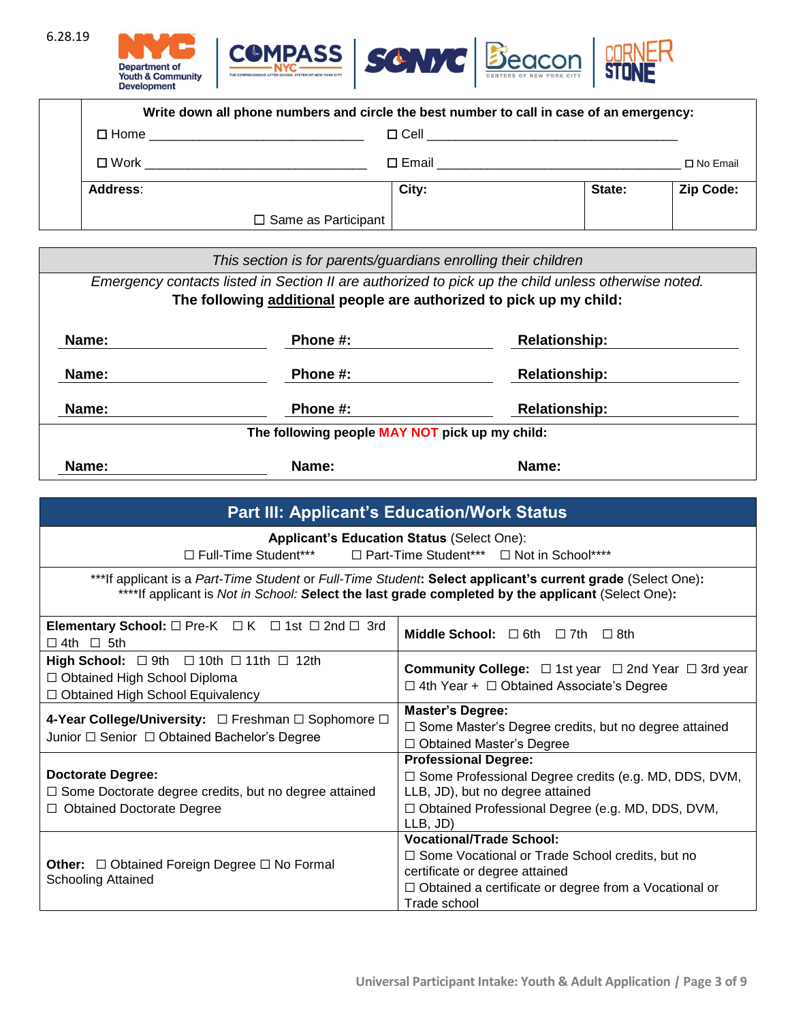







|                                        | Write down all phone numbers and circle the best number to call in case of an emergency: |                                                 |        |                  |
|----------------------------------------|------------------------------------------------------------------------------------------|-------------------------------------------------|--------|------------------|
|                                        |                                                                                          | D Cell <u>_________________________________</u> |        |                  |
| □ Work  ______________________________ |                                                                                          | □ Email <u>____________________</u>             |        | □ No Email       |
| <b>Address:</b>                        |                                                                                          | City:                                           | State: | <b>Zip Code:</b> |
|                                        | $\Box$ Same as Participant                                                               |                                                 |        |                  |

| This section is for parents/guardians enrolling their children                                                                                                             |                                  |                      |  |  |  |  |
|----------------------------------------------------------------------------------------------------------------------------------------------------------------------------|----------------------------------|----------------------|--|--|--|--|
| Emergency contacts listed in Section II are authorized to pick up the child unless otherwise noted.<br>The following additional people are authorized to pick up my child: |                                  |                      |  |  |  |  |
| Name:                                                                                                                                                                      | Phone #:                         | <b>Relationship:</b> |  |  |  |  |
| Name:                                                                                                                                                                      | Phone #:<br><b>Relationship:</b> |                      |  |  |  |  |
| Name:                                                                                                                                                                      | <b>Relationship:</b><br>Phone #: |                      |  |  |  |  |
| The following people MAY NOT pick up my child:                                                                                                                             |                                  |                      |  |  |  |  |
| Name:<br>Name:<br>Name:                                                                                                                                                    |                                  |                      |  |  |  |  |

| <b>Part III: Applicant's Education/Work Status</b>                                                                                                                                                               |                                                                                                                                                                                                             |  |  |  |  |  |
|------------------------------------------------------------------------------------------------------------------------------------------------------------------------------------------------------------------|-------------------------------------------------------------------------------------------------------------------------------------------------------------------------------------------------------------|--|--|--|--|--|
| <b>Applicant's Education Status (Select One):</b><br>□ Full-Time Student***<br>□ Part-Time Student*** □ Not in School****                                                                                        |                                                                                                                                                                                                             |  |  |  |  |  |
| ***If applicant is a Part-Time Student or Full-Time Student: Select applicant's current grade (Select One):<br>****If applicant is Not in School: Select the last grade completed by the applicant (Select One): |                                                                                                                                                                                                             |  |  |  |  |  |
| <b>Elementary School:</b> $\Box$ Pre-K $\Box$ K $\Box$ 1st $\Box$ 2nd $\Box$ 3rd<br>$\Box$ 4th $\Box$ 5th                                                                                                        | <b>Middle School:</b> $\Box$ 6th $\Box$ 7th $\Box$ 8th                                                                                                                                                      |  |  |  |  |  |
| High School: $\Box$ 9th $\Box$ 10th $\Box$ 11th $\Box$ 12th<br>□ Obtained High School Diploma<br>□ Obtained High School Equivalency                                                                              | <b>Community College:</b> $\Box$ 1st year $\Box$ 2nd Year $\Box$ 3rd year<br>$\Box$ 4th Year + $\Box$ Obtained Associate's Degree                                                                           |  |  |  |  |  |
| 4-Year College/University: $\Box$ Freshman $\Box$ Sophomore $\Box$<br>Junior □ Senior □ Obtained Bachelor's Degree                                                                                               | <b>Master's Degree:</b><br>□ Some Master's Degree credits, but no degree attained<br>$\Box$ Obtained Master's Degree                                                                                        |  |  |  |  |  |
| <b>Doctorate Degree:</b><br>$\Box$ Some Doctorate degree credits, but no degree attained<br>□ Obtained Doctorate Degree                                                                                          | <b>Professional Degree:</b><br>□ Some Professional Degree credits (e.g. MD, DDS, DVM,<br>LLB, JD), but no degree attained<br>□ Obtained Professional Degree (e.g. MD, DDS, DVM,<br>LLB, JD)                 |  |  |  |  |  |
| <b>Other:</b> $\Box$ Obtained Foreign Degree $\Box$ No Formal<br><b>Schooling Attained</b>                                                                                                                       | <b>Vocational/Trade School:</b><br>$\Box$ Some Vocational or Trade School credits, but no<br>certificate or degree attained<br>$\Box$ Obtained a certificate or degree from a Vocational or<br>Trade school |  |  |  |  |  |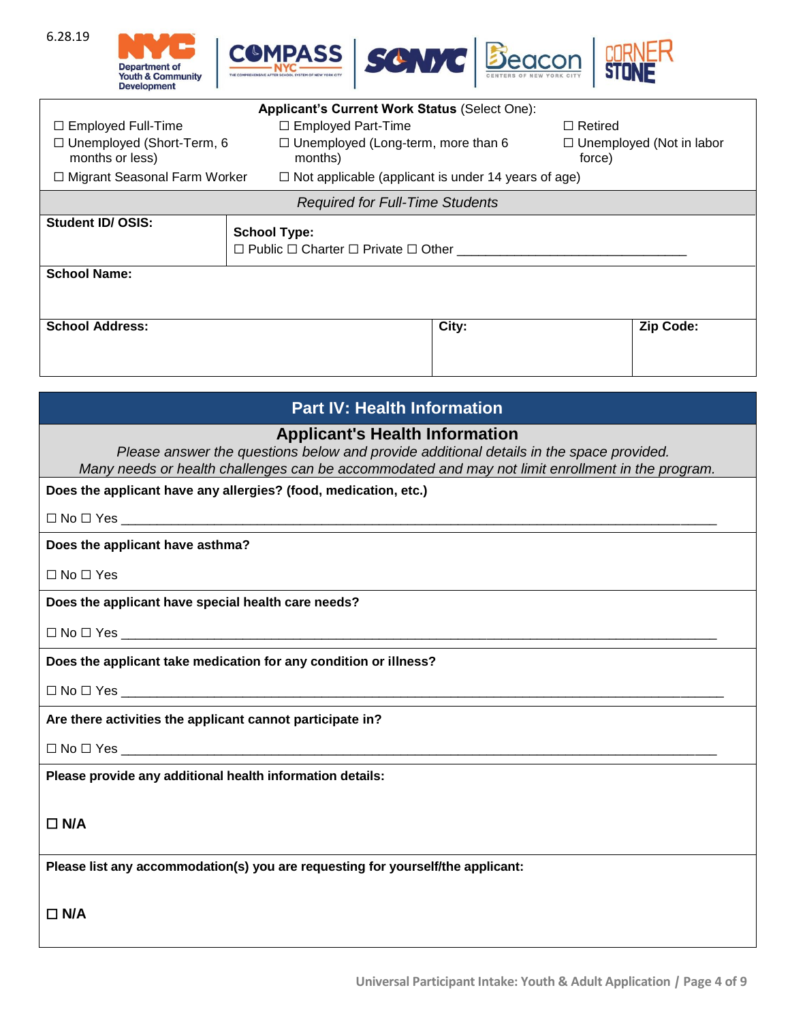

|                                                                                                             | <b>Applicant's Current Work Status (Select One):</b>                            |                                           |                |  |  |  |
|-------------------------------------------------------------------------------------------------------------|---------------------------------------------------------------------------------|-------------------------------------------|----------------|--|--|--|
| $\Box$ Employed Full-Time<br>$\Box$ Employed Part-Time                                                      |                                                                                 |                                           | $\Box$ Retired |  |  |  |
| $\Box$ Unemployed (Short-Term, 6<br>$\Box$ Unemployed (Long-term, more than 6<br>months or less)<br>months) |                                                                                 | $\Box$ Unemployed (Not in labor<br>force) |                |  |  |  |
| □ Migrant Seasonal Farm Worker                                                                              | $\Box$ Not applicable (applicant is under 14 years of age)                      |                                           |                |  |  |  |
|                                                                                                             | <b>Required for Full-Time Students</b>                                          |                                           |                |  |  |  |
| <b>Student ID/ OSIS:</b>                                                                                    | <b>School Type:</b><br>$\Box$ Public $\Box$ Charter $\Box$ Private $\Box$ Other |                                           |                |  |  |  |
| <b>School Name:</b>                                                                                         |                                                                                 |                                           |                |  |  |  |
| <b>School Address:</b>                                                                                      |                                                                                 | City:                                     | Zip Code:      |  |  |  |

| <b>Part IV: Health Information</b>                                                                                                                                                                                                   |
|--------------------------------------------------------------------------------------------------------------------------------------------------------------------------------------------------------------------------------------|
| <b>Applicant's Health Information</b><br>Please answer the questions below and provide additional details in the space provided.<br>Many needs or health challenges can be accommodated and may not limit enrollment in the program. |
| Does the applicant have any allergies? (food, medication, etc.)                                                                                                                                                                      |
|                                                                                                                                                                                                                                      |
| Does the applicant have asthma?                                                                                                                                                                                                      |
| $\Box$ No $\Box$ Yes                                                                                                                                                                                                                 |
| Does the applicant have special health care needs?                                                                                                                                                                                   |
|                                                                                                                                                                                                                                      |
| Does the applicant take medication for any condition or illness?                                                                                                                                                                     |
|                                                                                                                                                                                                                                      |
| Are there activities the applicant cannot participate in?                                                                                                                                                                            |
|                                                                                                                                                                                                                                      |
| Please provide any additional health information details:                                                                                                                                                                            |
| $\Box$ N/A                                                                                                                                                                                                                           |
| Please list any accommodation(s) you are requesting for yourself/the applicant:                                                                                                                                                      |
| $\Box$ N/A                                                                                                                                                                                                                           |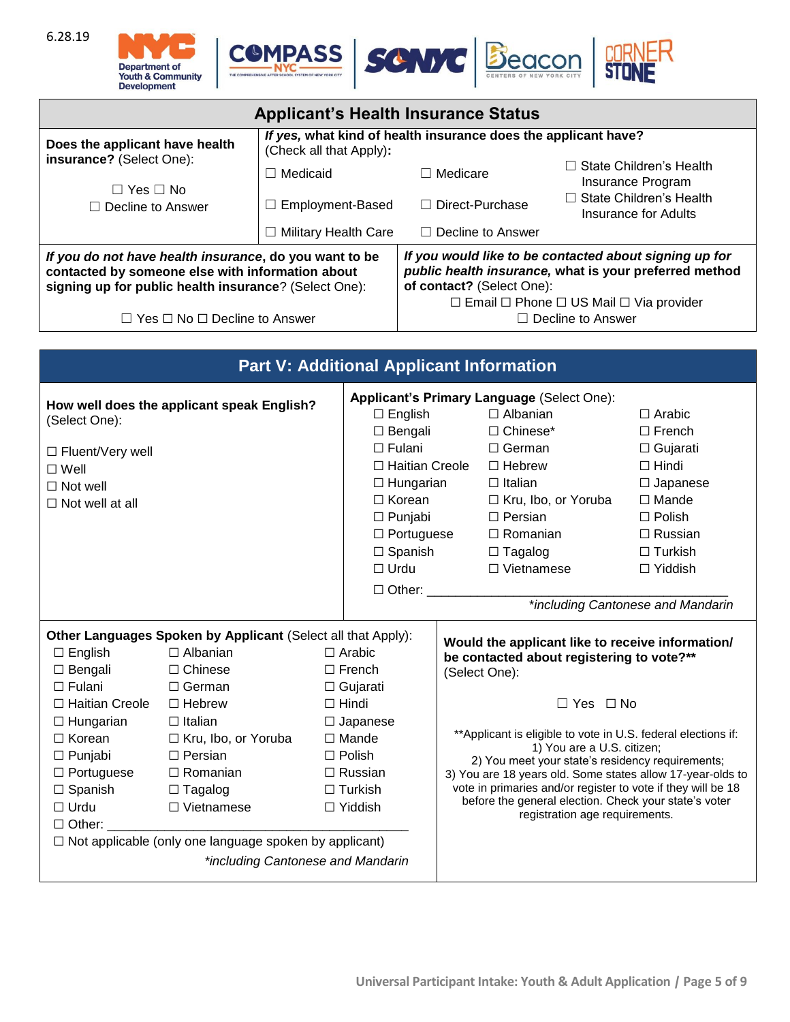







|                                                                                                                                                                                                                                                                                                                                                                                                                                                                                                                                                                                                                                                                                                                                                           | <b>Applicant's Health Insurance Status</b>      |                         |                                                                                                                                  |                                                                                                                                                                                                                       |                                                                                                                                                                                                                                      |                                                                                      |                                                                                                                                                                                                                                                                                                                                                              |
|-----------------------------------------------------------------------------------------------------------------------------------------------------------------------------------------------------------------------------------------------------------------------------------------------------------------------------------------------------------------------------------------------------------------------------------------------------------------------------------------------------------------------------------------------------------------------------------------------------------------------------------------------------------------------------------------------------------------------------------------------------------|-------------------------------------------------|-------------------------|----------------------------------------------------------------------------------------------------------------------------------|-----------------------------------------------------------------------------------------------------------------------------------------------------------------------------------------------------------------------|--------------------------------------------------------------------------------------------------------------------------------------------------------------------------------------------------------------------------------------|--------------------------------------------------------------------------------------|--------------------------------------------------------------------------------------------------------------------------------------------------------------------------------------------------------------------------------------------------------------------------------------------------------------------------------------------------------------|
| Does the applicant have health                                                                                                                                                                                                                                                                                                                                                                                                                                                                                                                                                                                                                                                                                                                            |                                                 | (Check all that Apply): |                                                                                                                                  | If yes, what kind of health insurance does the applicant have?                                                                                                                                                        |                                                                                                                                                                                                                                      |                                                                                      |                                                                                                                                                                                                                                                                                                                                                              |
| insurance? (Select One):                                                                                                                                                                                                                                                                                                                                                                                                                                                                                                                                                                                                                                                                                                                                  |                                                 | $\Box$ Medicaid         |                                                                                                                                  |                                                                                                                                                                                                                       | $\Box$ Medicare                                                                                                                                                                                                                      |                                                                                      | $\Box$ State Children's Health<br>Insurance Program                                                                                                                                                                                                                                                                                                          |
| $\Box$ Yes $\Box$ No<br>$\Box$ Decline to Answer                                                                                                                                                                                                                                                                                                                                                                                                                                                                                                                                                                                                                                                                                                          |                                                 | $\Box$ Employment-Based |                                                                                                                                  | □ State Children's Health<br>□ Direct-Purchase<br><b>Insurance for Adults</b>                                                                                                                                         |                                                                                                                                                                                                                                      |                                                                                      |                                                                                                                                                                                                                                                                                                                                                              |
|                                                                                                                                                                                                                                                                                                                                                                                                                                                                                                                                                                                                                                                                                                                                                           |                                                 | □ Military Health Care  |                                                                                                                                  |                                                                                                                                                                                                                       | $\Box$ Decline to Answer                                                                                                                                                                                                             |                                                                                      |                                                                                                                                                                                                                                                                                                                                                              |
| If you do not have health insurance, do you want to be<br>contacted by someone else with information about<br>signing up for public health insurance? (Select One):<br>$\Box$ Yes $\Box$ No $\Box$ Decline to Answer                                                                                                                                                                                                                                                                                                                                                                                                                                                                                                                                      |                                                 |                         |                                                                                                                                  | If you would like to be contacted about signing up for<br>public health insurance, what is your preferred method<br>of contact? (Select One):<br>□ Email □ Phone □ US Mail □ Via provider<br>$\Box$ Decline to Answer |                                                                                                                                                                                                                                      |                                                                                      |                                                                                                                                                                                                                                                                                                                                                              |
|                                                                                                                                                                                                                                                                                                                                                                                                                                                                                                                                                                                                                                                                                                                                                           |                                                 |                         |                                                                                                                                  |                                                                                                                                                                                                                       |                                                                                                                                                                                                                                      |                                                                                      |                                                                                                                                                                                                                                                                                                                                                              |
|                                                                                                                                                                                                                                                                                                                                                                                                                                                                                                                                                                                                                                                                                                                                                           | <b>Part V: Additional Applicant Information</b> |                         |                                                                                                                                  |                                                                                                                                                                                                                       |                                                                                                                                                                                                                                      |                                                                                      |                                                                                                                                                                                                                                                                                                                                                              |
| How well does the applicant speak English?<br>$\square$ English<br>(Select One):<br>$\Box$ Fulani<br>□ Fluent/Very well<br>$\square$ Well<br>$\Box$ Not well<br>$\Box$ Korean<br>$\Box$ Not well at all<br>$\Box$ Urdu                                                                                                                                                                                                                                                                                                                                                                                                                                                                                                                                    |                                                 |                         | $\Box$ Bengali<br>□ Haitian Creole<br>$\Box$ Hungarian<br>$\Box$ Punjabi<br>$\Box$ Portuguese<br>$\Box$ Spanish<br>$\Box$ Other: |                                                                                                                                                                                                                       | Applicant's Primary Language (Select One):<br>$\Box$ Albanian<br>□ Chinese*<br>$\Box$ German<br>$\Box$ Hebrew<br>$\Box$ Italian<br>□ Kru, Ibo, or Yoruba<br>$\Box$ Persian<br>$\Box$ Romanian<br>$\Box$ Tagalog<br>$\Box$ Vietnamese |                                                                                      | $\Box$ Arabic<br>$\Box$ French<br>$\Box$ Gujarati<br>$\Box$ Hindi<br>$\Box$ Japanese<br>$\Box$ Mande<br>$\Box$ Polish<br>$\Box$ Russian<br>$\Box$ Turkish<br>$\Box$ Yiddish<br>*including Cantonese and Mandarin                                                                                                                                             |
| Other Languages Spoken by Applicant (Select all that Apply):<br>$\Box$ Arabic<br>$\Box$ English<br>$\Box$ Albanian<br>$\Box$ Chinese<br>$\Box$ French<br>$\square$ Bengali<br>$\Box$ Fulani<br>$\Box$ German<br>$\Box$ Gujarati<br>□ Haitian Creole<br>$\Box$ Hebrew<br>$\Box$ Hindi<br>$\Box$ Hungarian<br>$\Box$ Italian<br>$\Box$ Japanese<br>$\Box$ Korean<br>□ Kru, Ibo, or Yoruba<br>$\Box$ Mande<br>$\Box$ Polish<br>$\Box$ Punjabi<br>$\Box$ Persian<br>$\Box$ Portuguese<br>$\Box$ Romanian<br>$\Box$ Russian<br>$\Box$ Spanish<br>$\Box$ Turkish<br>$\Box$ Tagalog<br>$\Box$ Urdu<br>$\Box$ Vietnamese<br>$\Box$ Yiddish<br>$\Box$ Other:<br>$\Box$ Not applicable (only one language spoken by applicant)<br>*including Cantonese and Mandarin |                                                 |                         |                                                                                                                                  |                                                                                                                                                                                                                       | be contacted about registering to vote?**<br>(Select One):                                                                                                                                                                           | $\Box$ Yes $\Box$ No<br>1) You are a U.S. citizen;<br>registration age requirements. | Would the applicant like to receive information/<br>**Applicant is eligible to vote in U.S. federal elections if:<br>2) You meet your state's residency requirements;<br>3) You are 18 years old. Some states allow 17-year-olds to<br>vote in primaries and/or register to vote if they will be 18<br>before the general election. Check your state's voter |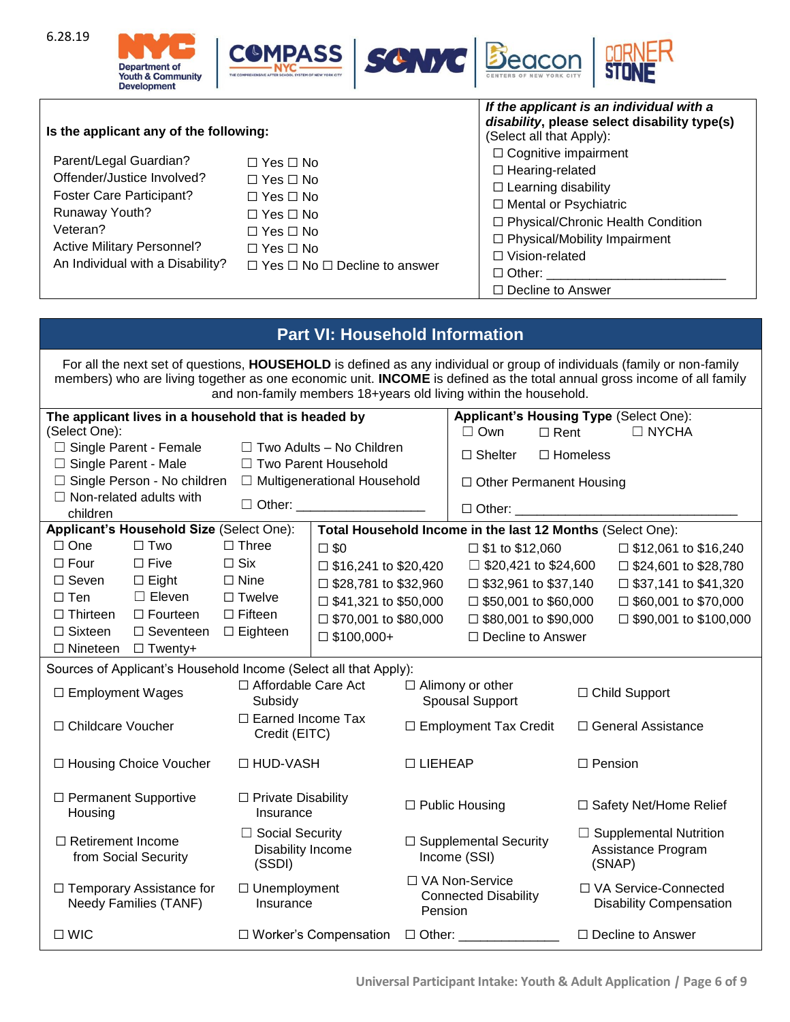





#### **Is the applicant any of the following:**

| Parent/Legal Guardian?            | $\Box$ Yes $\Box$ No                          |
|-----------------------------------|-----------------------------------------------|
| Offender/Justice Involved?        | $\Box$ Yes $\Box$ No                          |
| <b>Foster Care Participant?</b>   | $\Box$ Yes $\Box$ No                          |
| Runaway Youth?                    | $\Box$ Yes $\Box$ No                          |
| Veteran?                          | $\Box$ Yes $\Box$ No                          |
| <b>Active Military Personnel?</b> | $\Box$ Yes $\Box$ No                          |
| An Individual with a Disability?  | $\Box$ Yes $\Box$ No $\Box$ Decline to answer |

#### *If the applicant is an individual with a disability***, please select disability type(s)**  (Select all that Apply):

☐ Cognitive impairment

- □ Hearing-related
- $\Box$  Learning disability
- ☐ Mental or Psychiatric
- ☐ Physical/Chronic Health Condition
- ☐ Physical/Mobility Impairment
- ☐ Vision-related
- □ Other:
- □ Decline to Answer

## **Part VI: Household Information**

For all the next set of questions, **HOUSEHOLD** is defined as any individual or group of individuals (family or non-family members) who are living together as one economic unit. **INCOME** is defined as the total annual gross income of all family and non-family members 18+years old living within the household.

|                                   |                                                     | The applicant lives in a household that is headed by             |                                                 |                |                                                   |                                                            | <b>Applicant's Housing Type (Select One):</b>                 |
|-----------------------------------|-----------------------------------------------------|------------------------------------------------------------------|-------------------------------------------------|----------------|---------------------------------------------------|------------------------------------------------------------|---------------------------------------------------------------|
| (Select One):                     |                                                     |                                                                  |                                                 |                | $\Box$ Own                                        | $\Box$ Rent                                                | $\Box$ NYCHA                                                  |
|                                   | $\Box$ Single Parent - Female                       | $\Box$ Two Adults - No Children                                  |                                                 | $\Box$ Shelter | $\Box$ Homeless                                   |                                                            |                                                               |
| $\Box$ Single Parent - Male       |                                                     |                                                                  | □ Two Parent Household                          |                |                                                   |                                                            |                                                               |
|                                   | $\Box$ Single Person - No children                  |                                                                  | □ Multigenerational Household                   |                |                                                   | □ Other Permanent Housing                                  |                                                               |
|                                   | $\Box$ Non-related adults with                      |                                                                  | □ Other: ____________________                   |                |                                                   | $\Box$ Other:                                              |                                                               |
| children                          | Applicant's Household Size (Select One):            |                                                                  |                                                 |                |                                                   | Total Household Income in the last 12 Months (Select One): |                                                               |
| $\Box$ One                        | $\Box$ Two                                          | $\Box$ Three                                                     | $\square$ \$0                                   |                |                                                   |                                                            |                                                               |
| $\Box$ Four                       | $\square$ Five                                      | $\Box$ Six                                                       |                                                 |                | $\square$ \$1 to \$12,060                         |                                                            | $\Box$ \$12,061 to \$16,240                                   |
|                                   |                                                     |                                                                  | $\Box$ \$16,241 to \$20,420                     |                |                                                   | $\Box$ \$20,421 to \$24,600                                | $\square$ \$24,601 to \$28,780                                |
| $\Box$ Seven                      | $\Box$ Eight<br>$\Box$ Eleven                       | $\Box$ Nine                                                      | $\Box$ \$28,781 to \$32,960                     |                |                                                   | $\Box$ \$32,961 to \$37,140                                | $\Box$ \$37,141 to \$41,320                                   |
| $\Box$ Ten                        |                                                     | $\Box$ Twelve                                                    | $\Box$ \$41,321 to \$50,000                     |                |                                                   | $\Box$ \$50,001 to \$60,000                                | $\Box$ \$60,001 to \$70,000                                   |
| $\Box$ Thirteen                   | $\Box$ Fourteen                                     | $\Box$ Fifteen                                                   | $\Box$ \$70,001 to \$80,000                     |                |                                                   | $\Box$ \$80,001 to \$90,000                                | $\Box$ \$90,001 to \$100,000                                  |
| $\Box$ Sixteen                    | $\Box$ Seventeen                                    | $\Box$ Eighteen                                                  | $\square$ \$100,000+                            |                | $\Box$ Decline to Answer                          |                                                            |                                                               |
| $\Box$ Nineteen $\Box$ Twenty+    |                                                     |                                                                  |                                                 |                |                                                   |                                                            |                                                               |
|                                   |                                                     | Sources of Applicant's Household Income (Select all that Apply): |                                                 |                |                                                   |                                                            |                                                               |
| □ Employment Wages                |                                                     | □ Affordable Care Act<br>Subsidy                                 |                                                 |                | $\Box$ Alimony or other<br><b>Spousal Support</b> |                                                            | $\Box$ Child Support                                          |
| □ Childcare Voucher               |                                                     | $\Box$ Earned Income Tax<br>Credit (EITC)                        |                                                 |                | $\Box$ Employment Tax Credit                      |                                                            | □ General Assistance                                          |
|                                   | □ Housing Choice Voucher                            | □ HUD-VASH                                                       |                                                 | □ LIEHEAP      |                                                   | $\Box$ Pension                                             |                                                               |
| □ Permanent Supportive<br>Housing |                                                     | □ Private Disability<br>Insurance                                |                                                 |                | $\Box$ Public Housing                             |                                                            | $\Box$ Safety Net/Home Relief                                 |
| $\Box$ Retirement Income          | from Social Security                                | $\Box$ Social Security<br>Disability Income<br>(SSDI)            |                                                 |                | □ Supplemental Security<br>Income (SSI)           |                                                            | $\Box$ Supplemental Nutrition<br>Assistance Program<br>(SNAP) |
|                                   | □ Temporary Assistance for<br>Needy Families (TANF) | $\Box$ Unemployment<br>Insurance                                 |                                                 | Pension        | □ VA Non-Service<br><b>Connected Disability</b>   |                                                            | □ VA Service-Connected<br><b>Disability Compensation</b>      |
| $\square$ WIC                     |                                                     |                                                                  | □ Worker's Compensation □ Other: ______________ |                |                                                   |                                                            | □ Decline to Answer                                           |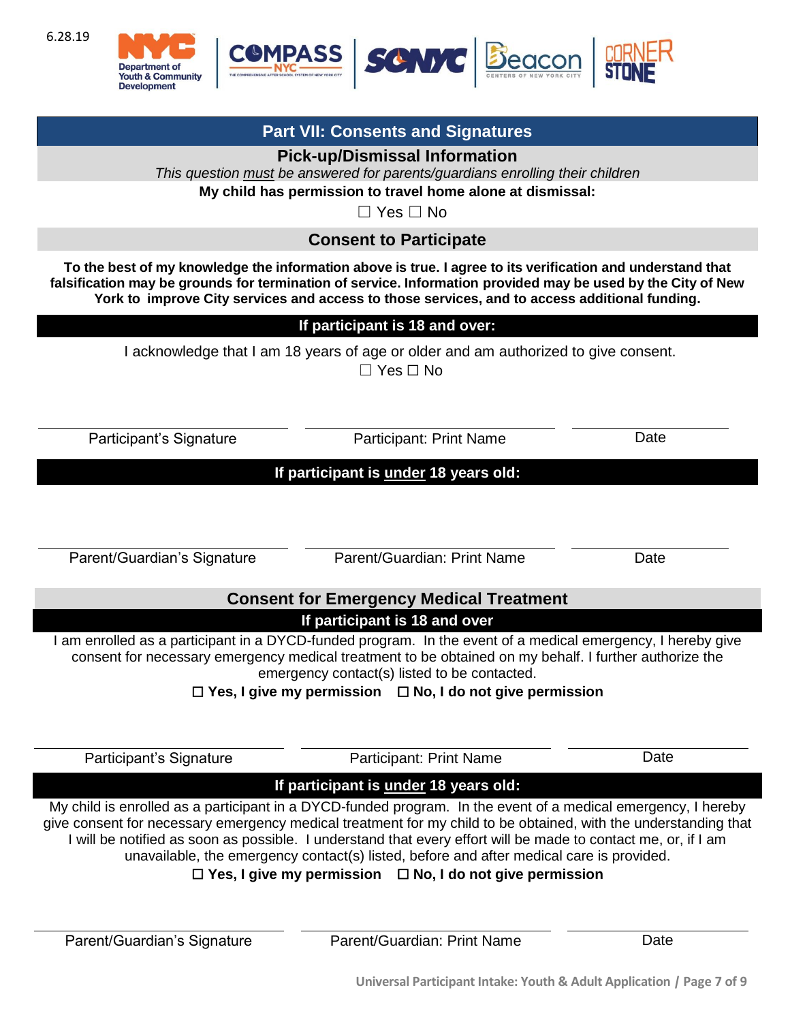

**Part VII: Consents and Signatures Pick-up/Dismissal Information**  *This question must be answered for parents/guardians enrolling their children*

| My child has permission to travel home alone at dismissal:<br>$\Box$ Yes $\Box$ No                                                                                                                                                                                                                                                                                                                                                                                                                                     |                                       |      |  |  |
|------------------------------------------------------------------------------------------------------------------------------------------------------------------------------------------------------------------------------------------------------------------------------------------------------------------------------------------------------------------------------------------------------------------------------------------------------------------------------------------------------------------------|---------------------------------------|------|--|--|
| <b>Consent to Participate</b>                                                                                                                                                                                                                                                                                                                                                                                                                                                                                          |                                       |      |  |  |
| To the best of my knowledge the information above is true. I agree to its verification and understand that<br>falsification may be grounds for termination of service. Information provided may be used by the City of New<br>York to improve City services and access to those services, and to access additional funding.                                                                                                                                                                                            |                                       |      |  |  |
| If participant is 18 and over:                                                                                                                                                                                                                                                                                                                                                                                                                                                                                         |                                       |      |  |  |
| I acknowledge that I am 18 years of age or older and am authorized to give consent.<br>$\Box$ Yes $\Box$ No                                                                                                                                                                                                                                                                                                                                                                                                            |                                       |      |  |  |
| Participant's Signature                                                                                                                                                                                                                                                                                                                                                                                                                                                                                                | <b>Participant: Print Name</b>        | Date |  |  |
| If participant is under 18 years old:                                                                                                                                                                                                                                                                                                                                                                                                                                                                                  |                                       |      |  |  |
| Parent/Guardian's Signature                                                                                                                                                                                                                                                                                                                                                                                                                                                                                            | Parent/Guardian: Print Name           | Date |  |  |
| <b>Consent for Emergency Medical Treatment</b>                                                                                                                                                                                                                                                                                                                                                                                                                                                                         |                                       |      |  |  |
|                                                                                                                                                                                                                                                                                                                                                                                                                                                                                                                        | If participant is 18 and over         |      |  |  |
| I am enrolled as a participant in a DYCD-funded program. In the event of a medical emergency, I hereby give<br>consent for necessary emergency medical treatment to be obtained on my behalf. I further authorize the<br>emergency contact(s) listed to be contacted.<br>$\Box$ Yes, I give my permission $\Box$ No, I do not give permission                                                                                                                                                                          |                                       |      |  |  |
| Participant's Signature                                                                                                                                                                                                                                                                                                                                                                                                                                                                                                | Participant: Print Name               | Date |  |  |
|                                                                                                                                                                                                                                                                                                                                                                                                                                                                                                                        | If participant is under 18 years old: |      |  |  |
| My child is enrolled as a participant in a DYCD-funded program. In the event of a medical emergency, I hereby<br>give consent for necessary emergency medical treatment for my child to be obtained, with the understanding that<br>I will be notified as soon as possible. I understand that every effort will be made to contact me, or, if I am<br>unavailable, the emergency contact(s) listed, before and after medical care is provided.<br>$\Box$ Yes, I give my permission $\Box$ No, I do not give permission |                                       |      |  |  |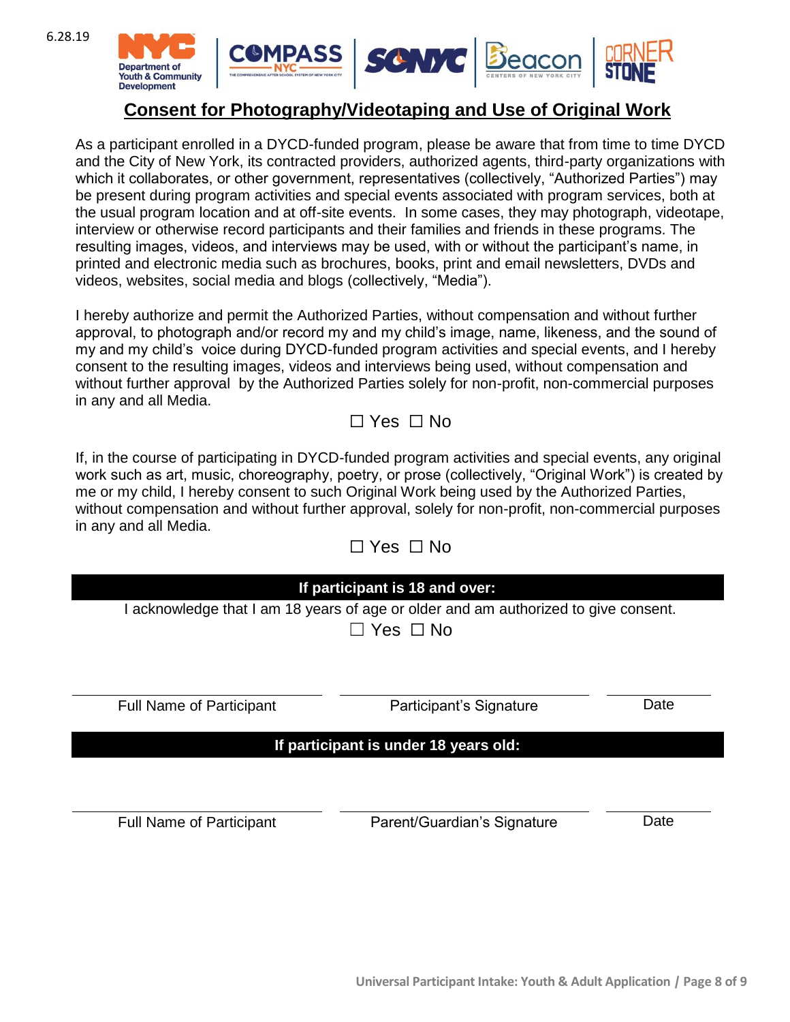

# **Consent for Photography/Videotaping and Use of Original Work**

As a participant enrolled in a DYCD-funded program, please be aware that from time to time DYCD and the City of New York, its contracted providers, authorized agents, third-party organizations with which it collaborates, or other government, representatives (collectively, "Authorized Parties") may be present during program activities and special events associated with program services, both at the usual program location and at off-site events. In some cases, they may photograph, videotape, interview or otherwise record participants and their families and friends in these programs. The resulting images, videos, and interviews may be used, with or without the participant's name, in printed and electronic media such as brochures, books, print and email newsletters, DVDs and videos, websites, social media and blogs (collectively, "Media").

I hereby authorize and permit the Authorized Parties, without compensation and without further approval, to photograph and/or record my and my child's image, name, likeness, and the sound of my and my child's voice during DYCD-funded program activities and special events, and I hereby consent to the resulting images, videos and interviews being used, without compensation and without further approval by the Authorized Parties solely for non-profit, non-commercial purposes in any and all Media.

## ☐ Yes ☐ No

If, in the course of participating in DYCD-funded program activities and special events, any original work such as art, music, choreography, poetry, or prose (collectively, "Original Work") is created by me or my child, I hereby consent to such Original Work being used by the Authorized Parties, without compensation and without further approval, solely for non-profit, non-commercial purposes in any and all Media.

☐ Yes ☐ No

|                                 | If participant is 18 and over:                                                                  |      |
|---------------------------------|-------------------------------------------------------------------------------------------------|------|
|                                 | acknowledge that I am 18 years of age or older and am authorized to give consent.<br>コ Yes ロ No |      |
|                                 |                                                                                                 |      |
|                                 |                                                                                                 |      |
| <b>Full Name of Participant</b> | Participant's Signature                                                                         | Date |
|                                 | If participant is under 18 years old:                                                           |      |
|                                 |                                                                                                 |      |
|                                 |                                                                                                 | Date |
| <b>Full Name of Participant</b> | Parent/Guardian's Signature                                                                     |      |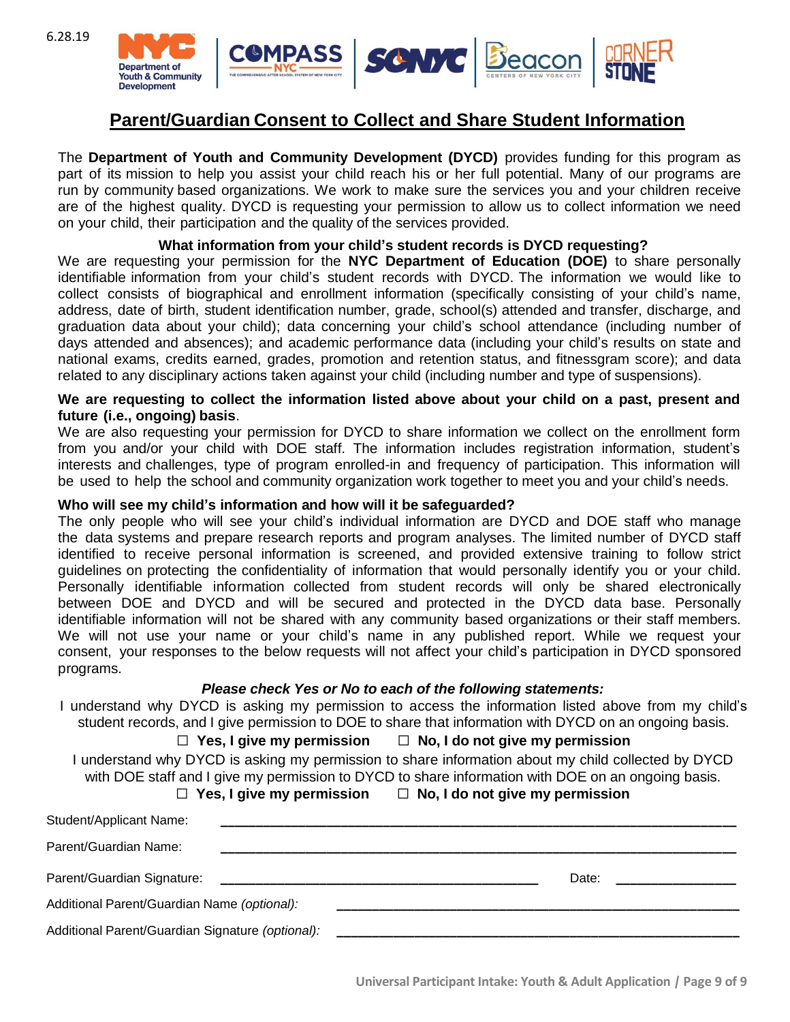

## **Parent/Guardian Consent to Collect and Share Student Information**

The **Department of Youth and Community Development (DYCD)** provides funding for this program as part of its mission to help you assist your child reach his or her full potential. Many of our programs are run by community based organizations. We work to make sure the services you and your children receive are of the highest quality. DYCD is requesting your permission to allow us to collect information we need on your child, their participation and the quality of the services provided.

### **What information from your child's student records is DYCD requesting?**

We are requesting your permission for the **NYC Department of Education (DOE)** to share personally identifiable information from your child's student records with DYCD. The information we would like to collect consists of biographical and enrollment information (specifically consisting of your child's name, address, date of birth, student identification number, grade, school(s) attended and transfer, discharge, and graduation data about your child); data concerning your child's school attendance (including number of days attended and absences); and academic performance data (including your child's results on state and national exams, credits earned, grades, promotion and retention status, and fitnessgram score); and data related to any disciplinary actions taken against your child (including number and type of suspensions).

#### **We are requesting to collect the information listed above about your child on a past, present and future (i.e., ongoing) basis**.

We are also requesting your permission for DYCD to share information we collect on the enrollment form from you and/or your child with DOE staff. The information includes registration information, student's interests and challenges, type of program enrolled-in and frequency of participation. This information will be used to help the school and community organization work together to meet you and your child's needs.

#### **Who will see my child's information and how will it be safeguarded?**

The only people who will see your child's individual information are DYCD and DOE staff who manage the data systems and prepare research reports and program analyses. The limited number of DYCD staff identified to receive personal information is screened, and provided extensive training to follow strict guidelines on protecting the confidentiality of information that would personally identify you or your child. Personally identifiable information collected from student records will only be shared electronically between DOE and DYCD and will be secured and protected in the DYCD data base. Personally identifiable information will not be shared with any community based organizations or their staff members. We will not use your name or your child's name in any published report. While we request your consent, your responses to the below requests will not affect your child's participation in DYCD sponsored programs.

#### *Please check Yes or No to each of the following statements:*

I understand why DYCD is asking my permission to access the information listed above from my child's student records, and I give permission to DOE to share that information with DYCD on an ongoing basis.

#### ☐ **Yes, I give my permission** ☐ **No, I do not give my permission**

I understand why DYCD is asking my permission to share information about my child collected by DYCD with DOE staff and I give my permission to DYCD to share information with DOE on an ongoing basis.

☐ **Yes, I give my permission** ☐ **No, I do not give my permission**

| <u> 1989 - Johann John Stone, markin amerikan bisa dalam personal dan bisa dalam bisa dalam bisa dalam bisa dala</u> |
|----------------------------------------------------------------------------------------------------------------------|
|                                                                                                                      |
|                                                                                                                      |
| Date:                                                                                                                |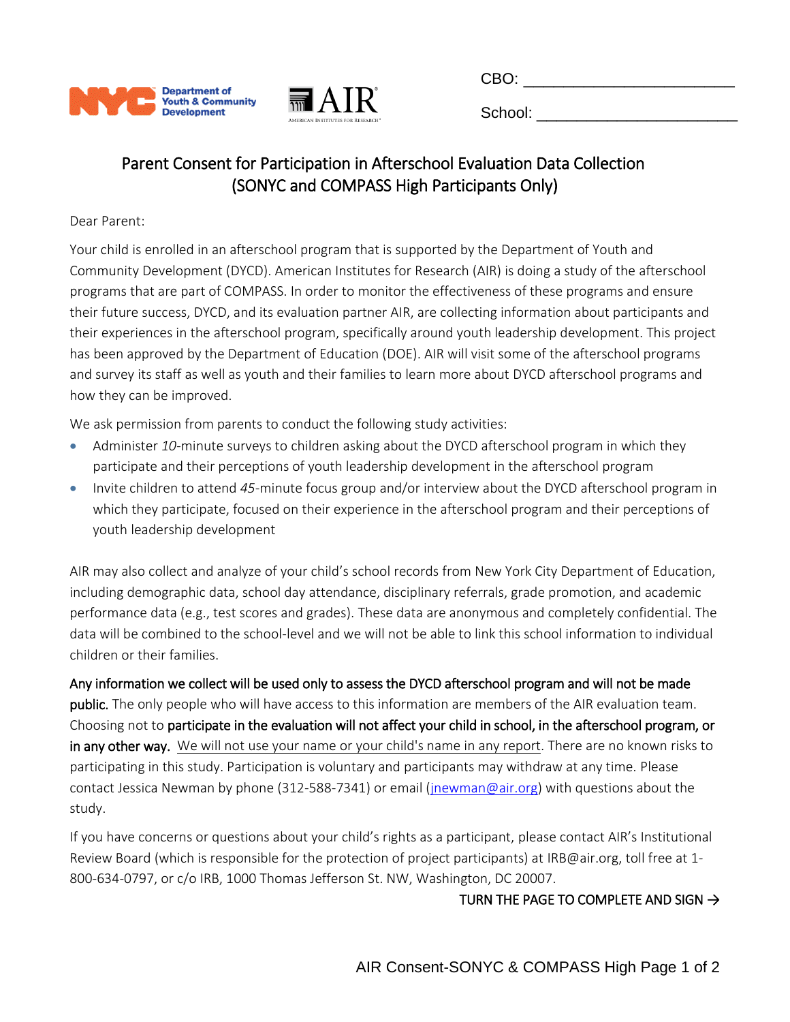



CBO: \_\_\_\_\_\_\_\_\_\_\_\_\_\_\_\_\_\_\_\_\_

School: \_\_\_\_\_\_\_\_\_\_\_\_\_\_\_\_\_\_\_\_

# Parent Consent for Participation in Afterschool Evaluation Data Collection (SONYC and COMPASS High Participants Only)

Dear Parent:

Your child is enrolled in an afterschool program that is supported by the Department of Youth and Community Development (DYCD). American Institutes for Research (AIR) is doing a study of the afterschool programs that are part of COMPASS. In order to monitor the effectiveness of these programs and ensure their future success, DYCD, and its evaluation partner AIR, are collecting information about participants and their experiences in the afterschool program, specifically around youth leadership development. This project has been approved by the Department of Education (DOE). AIR will visit some of the afterschool programs and survey its staff as well as youth and their families to learn more about DYCD afterschool programs and how they can be improved.

We ask permission from parents to conduct the following study activities:

- Administer *10-*minute surveys to children asking about the DYCD afterschool program in which they participate and their perceptions of youth leadership development in the afterschool program
- Invite children to attend *45*-minute focus group and/or interview about the DYCD afterschool program in which they participate, focused on their experience in the afterschool program and their perceptions of youth leadership development

AIR may also collect and analyze of your child's school records from New York City Department of Education, including demographic data, school day attendance, disciplinary referrals, grade promotion, and academic performance data (e.g., test scores and grades). These data are anonymous and completely confidential. The data will be combined to the school-level and we will not be able to link this school information to individual children or their families.

Any information we collect will be used only to assess the DYCD afterschool program and will not be made

public. The only people who will have access to this information are members of the AIR evaluation team. Choosing not to participate in the evaluation will not affect your child in school, in the afterschool program, or in any other way. We will not use your name or your child's name in any report. There are no known risks to participating in this study. Participation is voluntary and participants may withdraw at any time. Please contact Jessica Newman by phone (312-588-7341) or email (*jnewman@air.org*) with questions about the study.

If you have concerns or questions about your child's rights as a participant, please contact AIR's Institutional Review Board (which is responsible for the protection of project participants) at [IRB@air.org,](mailto:IRB@air.org) toll free at 1- 800-634-0797, or c/o IRB, 1000 Thomas Jefferson St. NW, Washington, DC 20007.

## TURN THE PAGE TO COMPLETE AND SIGN  $\rightarrow$